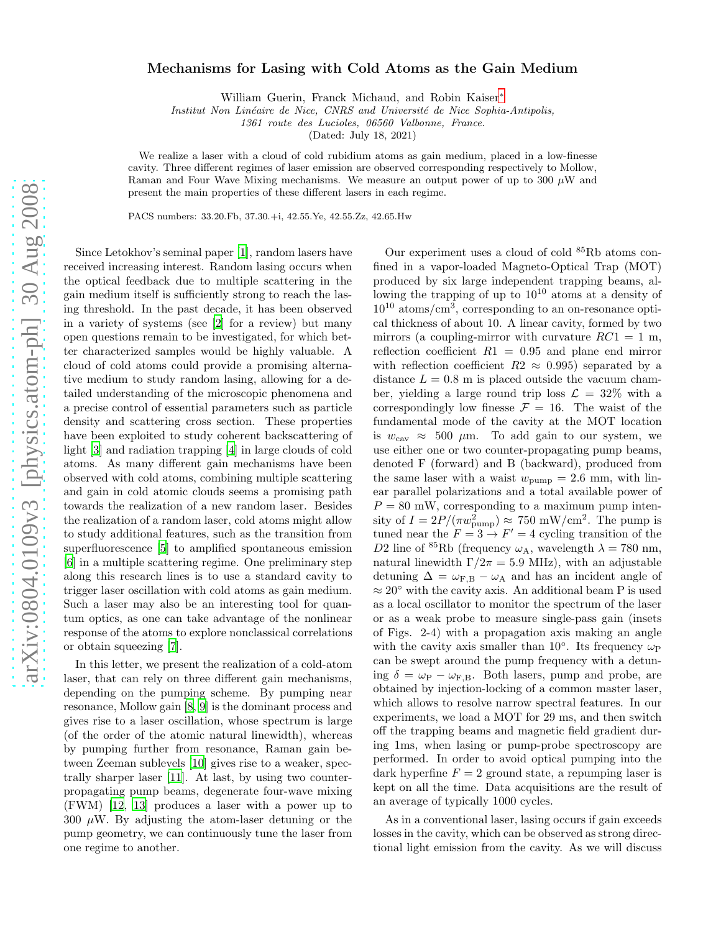## arXiv:0804.0109v3 [physics.atom-ph] 30 Aug 2008 [arXiv:0804.0109v3 \[physics.atom-ph\] 30 Aug 2008](http://arxiv.org/abs/0804.0109v3)

## Mechanisms for Lasing with Cold Atoms as the Gain Medium

William Guerin, Franck Michaud, and Robin Kaiser[∗](#page-3-0)

Institut Non Linéaire de Nice, CNRS and Université de Nice Sophia-Antipolis,

1361 route des Lucioles, 06560 Valbonne, France.

(Dated: July 18, 2021)

We realize a laser with a cloud of cold rubidium atoms as gain medium, placed in a low-finesse cavity. Three different regimes of laser emission are observed corresponding respectively to Mollow, Raman and Four Wave Mixing mechanisms. We measure an output power of up to  $300 \mu W$  and present the main properties of these different lasers in each regime.

PACS numbers: 33.20.Fb, 37.30.+i, 42.55.Ye, 42.55.Zz, 42.65.Hw

Since Letokhov's seminal paper [\[1\]](#page-3-1), random lasers have received increasing interest. Random lasing occurs when the optical feedback due to multiple scattering in the gain medium itself is sufficiently strong to reach the lasing threshold. In the past decade, it has been observed in a variety of systems (see [\[2](#page-3-2)] for a review) but many open questions remain to be investigated, for which better characterized samples would be highly valuable. A cloud of cold atoms could provide a promising alternative medium to study random lasing, allowing for a detailed understanding of the microscopic phenomena and a precise control of essential parameters such as particle density and scattering cross section. These properties have been exploited to study coherent backscattering of light [\[3](#page-3-3)] and radiation trapping [\[4](#page-3-4)] in large clouds of cold atoms. As many different gain mechanisms have been observed with cold atoms, combining multiple scattering and gain in cold atomic clouds seems a promising path towards the realization of a new random laser. Besides the realization of a random laser, cold atoms might allow to study additional features, such as the transition from superfluorescence [\[5](#page-3-5)] to amplified spontaneous emission [\[6\]](#page-3-6) in a multiple scattering regime. One preliminary step along this research lines is to use a standard cavity to trigger laser oscillation with cold atoms as gain medium. Such a laser may also be an interesting tool for quantum optics, as one can take advantage of the nonlinear response of the atoms to explore nonclassical correlations or obtain squeezing [\[7\]](#page-3-7). In this letter, we present the realization of a cold-atom

laser, that can rely on three different gain mechanisms, depending on the pumping scheme. By pumping near resonance, Mollow gain [\[8](#page-3-8), [9\]](#page-3-9) is the dominant process and gives rise to a laser oscillation, whose spectrum is large (of the order of the atomic natural linewidth), whereas by pumping further from resonance, Raman gain between Zeeman sublevels [\[10](#page-3-10)] gives rise to a weaker, spectrally sharper laser [\[11](#page-3-11)]. At last, by using two counterpropagating pump beams, degenerate four-wave mixing (FWM) [\[12](#page-3-12), [13](#page-3-13)] produces a laser with a power up to  $300 \mu W$ . By adjusting the atom-laser detuning or the pump geometry, we can continuously tune the laser from one regime to another.

Our experiment uses a cloud of cold <sup>85</sup>Rb atoms confined in a vapor-loaded Magneto-Optical Trap (MOT) produced by six large independent trapping beams, allowing the trapping of up to  $10^{10}$  atoms at a density of  $10^{10}$  atoms/cm<sup>3</sup>, corresponding to an on-resonance optical thickness of about 10. A linear cavity, formed by two mirrors (a coupling-mirror with curvature  $RC1 = 1$  m, reflection coefficient  $R1 = 0.95$  and plane end mirror with reflection coefficient  $R2 \approx 0.995$  separated by a distance  $L = 0.8$  m is placed outside the vacuum chamber, yielding a large round trip loss  $\mathcal{L} = 32\%$  with a correspondingly low finesse  $\mathcal{F} = 16$ . The waist of the fundamental mode of the cavity at the MOT location is  $w_{\text{cav}} \approx 500 \mu \text{m}$ . To add gain to our system, we use either one or two counter-propagating pump beams, denoted F (forward) and B (backward), produced from the same laser with a waist  $w_{\text{pump}} = 2.6$  mm, with linear parallel polarizations and a total available power of  $P = 80$  mW, corresponding to a maximum pump intensity of  $I = 2P/(\pi w_{\text{pump}}^2) \approx 750 \text{ mW/cm}^2$ . The pump is tuned near the  $F = 3 \rightarrow F' = 4$  cycling transition of the D2 line of <sup>85</sup>Rb (frequency  $\omega_A$ , wavelength  $\lambda = 780$  nm, natural linewidth  $\Gamma/2\pi = 5.9$  MHz), with an adjustable detuning  $\Delta = \omega_{\text{F,B}} - \omega_{\text{A}}$  and has an incident angle of  $\approx 20^{\circ}$  with the cavity axis. An additional beam P is used as a local oscillator to monitor the spectrum of the laser or as a weak probe to measure single-pass gain (insets of Figs. 2-4) with a propagation axis making an angle with the cavity axis smaller than 10°. Its frequency  $\omega_P$ can be swept around the pump frequency with a detuning  $\delta = \omega_{\rm P} - \omega_{\rm F,B}$ . Both lasers, pump and probe, are obtained by injection-locking of a common master laser, which allows to resolve narrow spectral features. In our experiments, we load a MOT for 29 ms, and then switch off the trapping beams and magnetic field gradient during 1ms, when lasing or pump-probe spectroscopy are performed. In order to avoid optical pumping into the dark hyperfine  $F = 2$  ground state, a repumping laser is kept on all the time. Data acquisitions are the result of an average of typically 1000 cycles.

As in a conventional laser, lasing occurs if gain exceeds losses in the cavity, which can be observed as strong directional light emission from the cavity. As we will discuss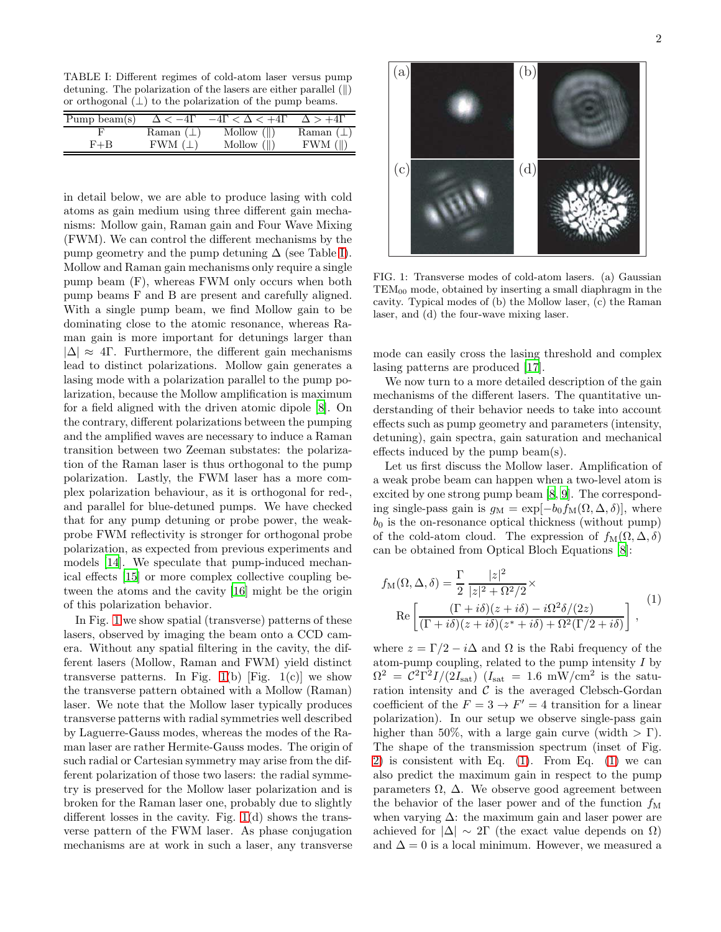<span id="page-1-0"></span>TABLE I: Different regimes of cold-atom laser versus pump detuning. The polarization of the lasers are either parallel  $(\parallel)$ or orthogonal  $(\perp)$  to the polarization of the pump beams.

| Pump beam $(s)$ | $\Delta < -41$  | $-4\Gamma < \Delta < +4\Gamma$ | $\Delta > +41$ |
|-----------------|-----------------|--------------------------------|----------------|
|                 | Raman $(\perp)$ | Mollow $(\ )$                  | Raman $(\perp$ |
| $F + B$         | $FWM$ ( $\perp$ | Mollow $(  )$                  | $FWM$ ( $  $ ) |

in detail below, we are able to produce lasing with cold atoms as gain medium using three different gain mechanisms: Mollow gain, Raman gain and Four Wave Mixing (FWM). We can control the different mechanisms by the pump geometry and the pump detuning  $\Delta$  (see Table [I\)](#page-1-0). Mollow and Raman gain mechanisms only require a single pump beam (F), whereas FWM only occurs when both pump beams F and B are present and carefully aligned. With a single pump beam, we find Mollow gain to be dominating close to the atomic resonance, whereas Raman gain is more important for detunings larger than  $|\Delta| \approx 4\Gamma$ . Furthermore, the different gain mechanisms lead to distinct polarizations. Mollow gain generates a lasing mode with a polarization parallel to the pump polarization, because the Mollow amplification is maximum for a field aligned with the driven atomic dipole [\[8](#page-3-8)]. On the contrary, different polarizations between the pumping and the amplified waves are necessary to induce a Raman transition between two Zeeman substates: the polarization of the Raman laser is thus orthogonal to the pump polarization. Lastly, the FWM laser has a more complex polarization behaviour, as it is orthogonal for red-, and parallel for blue-detuned pumps. We have checked that for any pump detuning or probe power, the weakprobe FWM reflectivity is stronger for orthogonal probe polarization, as expected from previous experiments and models [\[14\]](#page-3-14). We speculate that pump-induced mechanical effects [\[15\]](#page-3-15) or more complex collective coupling between the atoms and the cavity [\[16](#page-3-16)] might be the origin of this polarization behavior.

In Fig. [1](#page-1-1) we show spatial (transverse) patterns of these lasers, observed by imaging the beam onto a CCD camera. Without any spatial filtering in the cavity, the different lasers (Mollow, Raman and FWM) yield distinct transverse patterns. In Fig.  $1(b)$  [Fig.  $1(c)$ ] we show the transverse pattern obtained with a Mollow (Raman) laser. We note that the Mollow laser typically produces transverse patterns with radial symmetries well described by Laguerre-Gauss modes, whereas the modes of the Raman laser are rather Hermite-Gauss modes. The origin of such radial or Cartesian symmetry may arise from the different polarization of those two lasers: the radial symmetry is preserved for the Mollow laser polarization and is broken for the Raman laser one, probably due to slightly different losses in the cavity. Fig. [1\(](#page-1-1)d) shows the transverse pattern of the FWM laser. As phase conjugation mechanisms are at work in such a laser, any transverse



<span id="page-1-1"></span>FIG. 1: Transverse modes of cold-atom lasers. (a) Gaussian  $TEM_{00}$  mode, obtained by inserting a small diaphragm in the cavity. Typical modes of (b) the Mollow laser, (c) the Raman laser, and (d) the four-wave mixing laser.

mode can easily cross the lasing threshold and complex lasing patterns are produced [\[17\]](#page-3-17).

We now turn to a more detailed description of the gain mechanisms of the different lasers. The quantitative understanding of their behavior needs to take into account effects such as pump geometry and parameters (intensity, detuning), gain spectra, gain saturation and mechanical effects induced by the pump beam(s).

Let us first discuss the Mollow laser. Amplification of a weak probe beam can happen when a two-level atom is excited by one strong pump beam [\[8,](#page-3-8) [9](#page-3-9)]. The corresponding single-pass gain is  $g_M = \exp[-b_0 f_M(\Omega, \Delta, \delta)]$ , where  $b_0$  is the on-resonance optical thickness (without pump) of the cold-atom cloud. The expression of  $f_{\text{M}}(\Omega, \Delta, \delta)$ can be obtained from Optical Bloch Equations [\[8\]](#page-3-8):

<span id="page-1-2"></span>
$$
f_{\mathcal{M}}(\Omega, \Delta, \delta) = \frac{\Gamma}{2} \frac{|z|^2}{|z|^2 + \Omega^2/2} \times
$$
  
Re  $\left[ \frac{(\Gamma + i\delta)(z + i\delta) - i\Omega^2 \delta/(2z)}{(\Gamma + i\delta)(z + i\delta)(z^* + i\delta) + \Omega^2(\Gamma/2 + i\delta)} \right],$  (1)

where  $z = \Gamma/2 - i\Delta$  and  $\Omega$  is the Rabi frequency of the atom-pump coupling, related to the pump intensity I by  $\Omega^2 = C^2 \Gamma^2 I / (2I_{\text{sat}})$  ( $I_{\text{sat}} = 1.6$  mW/cm<sup>2</sup> is the saturation intensity and  $\mathcal C$  is the averaged Clebsch-Gordan coefficient of the  $F = 3 \rightarrow F' = 4$  transition for a linear polarization). In our setup we observe single-pass gain higher than 50%, with a large gain curve (width  $>\Gamma$ ). The shape of the transmission spectrum (inset of Fig. [2\)](#page-2-0) is consistent with Eq.  $(1)$ . From Eq.  $(1)$  we can also predict the maximum gain in respect to the pump parameters Ω, ∆. We observe good agreement between the behavior of the laser power and of the function  $f_M$ when varying  $\Delta$ : the maximum gain and laser power are achieved for  $|\Delta| \sim 2\Gamma$  (the exact value depends on  $\Omega$ ) and  $\Delta = 0$  is a local minimum. However, we measured a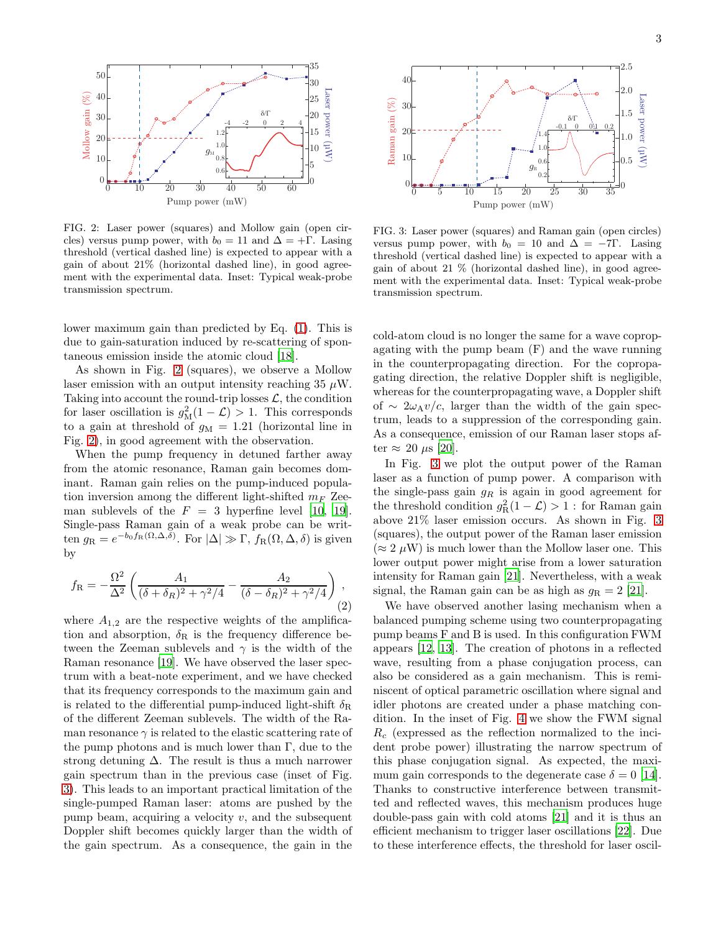

<span id="page-2-0"></span>FIG. 2: Laser power (squares) and Mollow gain (open circles) versus pump power, with  $b_0 = 11$  and  $\Delta = +\Gamma$ . Lasing threshold (vertical dashed line) is expected to appear with a gain of about 21% (horizontal dashed line), in good agreement with the experimental data. Inset: Typical weak-probe transmission spectrum.

lower maximum gain than predicted by Eq. [\(1\)](#page-1-2). This is due to gain-saturation induced by re-scattering of spontaneous emission inside the atomic cloud [\[18\]](#page-3-18).

As shown in Fig. [2](#page-2-0) (squares), we observe a Mollow laser emission with an output intensity reaching  $35 \mu W$ . Taking into account the round-trip losses  $\mathcal{L}$ , the condition for laser oscillation is  $g_M^2(1-\mathcal{L}) > 1$ . This corresponds to a gain at threshold of  $g_M = 1.21$  (horizontal line in Fig. [2\)](#page-2-0), in good agreement with the observation.

When the pump frequency in detuned farther away from the atomic resonance, Raman gain becomes dominant. Raman gain relies on the pump-induced population inversion among the different light-shifted  $m_F$  Zeeman sublevels of the  $F = 3$  hyperfine level [\[10](#page-3-10), [19\]](#page-3-19). Single-pass Raman gain of a weak probe can be written  $g_{\rm R} = e^{-b_0 f_{\rm R}(\Omega,\Delta,\delta)}$ . For  $|\Delta| \gg \Gamma$ ,  $f_{\rm R}(\Omega,\Delta,\delta)$  is given by

$$
f_{\rm R} = -\frac{\Omega^2}{\Delta^2} \left( \frac{A_1}{(\delta + \delta_R)^2 + \gamma^2/4} - \frac{A_2}{(\delta - \delta_R)^2 + \gamma^2/4} \right),\tag{2}
$$

where  $A_{1,2}$  are the respective weights of the amplification and absorption,  $\delta_{\rm R}$  is the frequency difference between the Zeeman sublevels and  $\gamma$  is the width of the Raman resonance [\[19\]](#page-3-19). We have observed the laser spectrum with a beat-note experiment, and we have checked that its frequency corresponds to the maximum gain and is related to the differential pump-induced light-shift  $\delta_{\rm R}$ of the different Zeeman sublevels. The width of the Raman resonance  $\gamma$  is related to the elastic scattering rate of the pump photons and is much lower than  $\Gamma$ , due to the strong detuning  $\Delta$ . The result is thus a much narrower gain spectrum than in the previous case (inset of Fig. [3\)](#page-2-1). This leads to an important practical limitation of the single-pumped Raman laser: atoms are pushed by the pump beam, acquiring a velocity  $v$ , and the subsequent Doppler shift becomes quickly larger than the width of the gain spectrum. As a consequence, the gain in the



<span id="page-2-1"></span>FIG. 3: Laser power (squares) and Raman gain (open circles) versus pump power, with  $b_0 = 10$  and  $\Delta = -7\Gamma$ . Lasing threshold (vertical dashed line) is expected to appear with a gain of about 21 % (horizontal dashed line), in good agreement with the experimental data. Inset: Typical weak-probe transmission spectrum.

cold-atom cloud is no longer the same for a wave copropagating with the pump beam (F) and the wave running in the counterpropagating direction. For the copropagating direction, the relative Doppler shift is negligible, whereas for the counterpropagating wave, a Doppler shift of ∼ 2 $\omega$ <sub>A</sub>*v*/*c*, larger than the width of the gain spectrum, leads to a suppression of the corresponding gain. As a consequence, emission of our Raman laser stops after  $\approx 20 \mu s$  [\[20\]](#page-3-20).

In Fig. [3](#page-2-1) we plot the output power of the Raman laser as a function of pump power. A comparison with the single-pass gain  $g_R$  is again in good agreement for the threshold condition  $g_R^2(1-\mathcal{L}) > 1$ : for Raman gain above 21% laser emission occurs. As shown in Fig. [3](#page-2-1) (squares), the output power of the Raman laser emission  $(\approx 2 \,\mu\text{W})$  is much lower than the Mollow laser one. This lower output power might arise from a lower saturation intensity for Raman gain [\[21\]](#page-3-21). Nevertheless, with a weak signal, the Raman gain can be as high as  $q_R = 2$  [\[21](#page-3-21)].

We have observed another lasing mechanism when a balanced pumping scheme using two counterpropagating pump beams F and B is used. In this configuration FWM appears [\[12](#page-3-12), [13\]](#page-3-13). The creation of photons in a reflected wave, resulting from a phase conjugation process, can also be considered as a gain mechanism. This is reminiscent of optical parametric oscillation where signal and idler photons are created under a phase matching condition. In the inset of Fig. [4](#page-3-22) we show the FWM signal  $R_c$  (expressed as the reflection normalized to the incident probe power) illustrating the narrow spectrum of this phase conjugation signal. As expected, the maximum gain corresponds to the degenerate case  $\delta = 0$  [\[14\]](#page-3-14). Thanks to constructive interference between transmitted and reflected waves, this mechanism produces huge double-pass gain with cold atoms [\[21](#page-3-21)] and it is thus an efficient mechanism to trigger laser oscillations [\[22\]](#page-3-23). Due to these interference effects, the threshold for laser oscil-